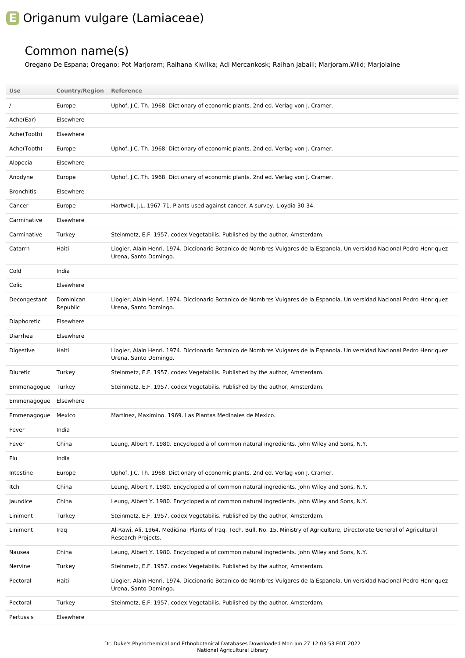## **E** Origanum vulgare (Lamiaceae)

## Common name(s)

Oregano De Espana; Oregano; Pot Marjoram; Raihana Kiwilka; Adi Mercankosk; Raihan Jabaili; Marjoram,Wild; Marjolaine

| Use                | <b>Country/Region</b> | Reference                                                                                                                                            |
|--------------------|-----------------------|------------------------------------------------------------------------------------------------------------------------------------------------------|
|                    | Europe                | Uphof, J.C. Th. 1968. Dictionary of economic plants. 2nd ed. Verlag von J. Cramer.                                                                   |
| Ache(Ear)          | Elsewhere             |                                                                                                                                                      |
| Ache(Tooth)        | Elsewhere             |                                                                                                                                                      |
| Ache(Tooth)        | Europe                | Uphof, J.C. Th. 1968. Dictionary of economic plants. 2nd ed. Verlag von J. Cramer.                                                                   |
| Alopecia           | Elsewhere             |                                                                                                                                                      |
| Anodyne            | Europe                | Uphof, J.C. Th. 1968. Dictionary of economic plants. 2nd ed. Verlag von J. Cramer.                                                                   |
| <b>Bronchitis</b>  | Elsewhere             |                                                                                                                                                      |
| Cancer             | Europe                | Hartwell, J.L. 1967-71. Plants used against cancer. A survey. Lloydia 30-34.                                                                         |
| Carminative        | Elsewhere             |                                                                                                                                                      |
| Carminative        | Turkey                | Steinmetz, E.F. 1957. codex Vegetabilis. Published by the author, Amsterdam.                                                                         |
| Catarrh            | Haiti                 | Liogier, Alain Henri. 1974. Diccionario Botanico de Nombres Vulgares de la Espanola. Universidad Nacional Pedro Henriquez<br>Urena, Santo Domingo.   |
| Cold               | India                 |                                                                                                                                                      |
| Colic              | Elsewhere             |                                                                                                                                                      |
| Decongestant       | Dominican<br>Republic | Liogier, Alain Henri. 1974. Diccionario Botanico de Nombres Vulgares de la Espanola. Universidad Nacional Pedro Henriquez<br>Urena, Santo Domingo.   |
| Diaphoretic        | Elsewhere             |                                                                                                                                                      |
| Diarrhea           | Elsewhere             |                                                                                                                                                      |
| Digestive          | Haiti                 | Liogier, Alain Henri. 1974. Diccionario Botanico de Nombres Vulgares de la Espanola. Universidad Nacional Pedro Henriquez<br>Urena, Santo Domingo.   |
| Diuretic           | Turkey                | Steinmetz, E.F. 1957. codex Vegetabilis. Published by the author, Amsterdam.                                                                         |
| Emmenagogue Turkey |                       | Steinmetz, E.F. 1957. codex Vegetabilis. Published by the author, Amsterdam.                                                                         |
| Emmenagogue        | Elsewhere             |                                                                                                                                                      |
| Emmenagogue        | Mexico                | Martinez, Maximino. 1969. Las Plantas Medinales de Mexico.                                                                                           |
| Fever              | India                 |                                                                                                                                                      |
| Fever              | China                 | Leung, Albert Y. 1980. Encyclopedia of common natural ingredients. John Wiley and Sons, N.Y.                                                         |
| Flu                | India                 |                                                                                                                                                      |
| Intestine          | Europe                | Uphof, J.C. Th. 1968. Dictionary of economic plants. 2nd ed. Verlag von J. Cramer.                                                                   |
| Itch               | China                 | Leung, Albert Y. 1980. Encyclopedia of common natural ingredients. John Wiley and Sons, N.Y.                                                         |
| Jaundice           | China                 | Leung, Albert Y. 1980. Encyclopedia of common natural ingredients. John Wiley and Sons, N.Y.                                                         |
| Liniment           | Turkey                | Steinmetz, E.F. 1957. codex Vegetabilis. Published by the author, Amsterdam.                                                                         |
| Liniment           | Iraq                  | Al-Rawi, Ali. 1964. Medicinal Plants of Iraq. Tech. Bull. No. 15. Ministry of Agriculture, Directorate General of Agricultural<br>Research Projects. |
| Nausea             | China                 | Leung, Albert Y. 1980. Encyclopedia of common natural ingredients. John Wiley and Sons, N.Y.                                                         |
| Nervine            | Turkey                | Steinmetz, E.F. 1957. codex Vegetabilis. Published by the author, Amsterdam.                                                                         |
| Pectoral           | Haiti                 | Liogier, Alain Henri. 1974. Diccionario Botanico de Nombres Vulgares de la Espanola. Universidad Nacional Pedro Henriquez<br>Urena, Santo Domingo.   |
| Pectoral           | Turkey                | Steinmetz, E.F. 1957. codex Vegetabilis. Published by the author, Amsterdam.                                                                         |
| Pertussis          | Elsewhere             |                                                                                                                                                      |